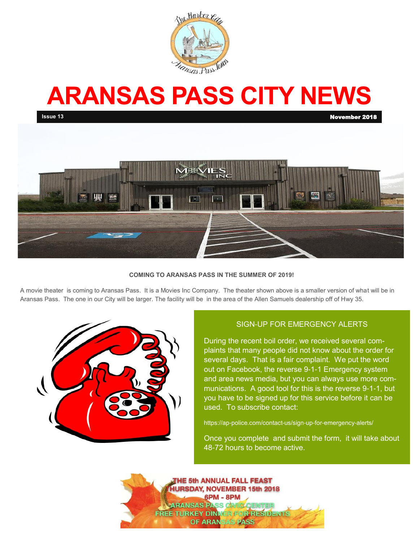

# **ARANSAS PASS CITY NEWS**





### **COMING TO ARANSAS PASS IN THE SUMMER OF 2019!**

A movie theater is coming to Aransas Pass. It is a Movies Inc Company. The theater shown above is a smaller version of what will be in Aransas Pass. The one in our City will be larger. The facility will be in the area of the Allen Samuels dealership off of Hwy 35.



## SIGN-UP FOR EMERGENCY ALERTS

During the recent boil order, we received several complaints that many people did not know about the order for several days. That is a fair complaint. We put the word out on Facebook, the reverse 9-1-1 Emergency system and area news media, but you can always use more communications. A good tool for this is the reverse 9-1-1, but you have to be signed up for this service before it can be used. To subscribe contact:

https://ap-police.com/contact-us/sign-up-for-emergency-alerts/

Once you complete and submit the form, it will take about 48-72 hours to become active.

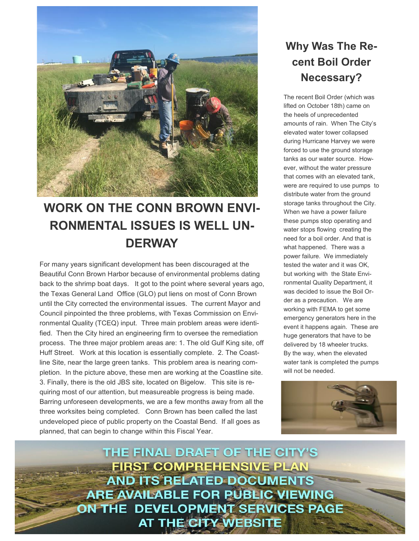

# **WORK ON THE CONN BROWN ENVI-RONMENTAL ISSUES IS WELL UN-DERWAY**

For many years significant development has been discouraged at the Beautiful Conn Brown Harbor because of environmental problems dating back to the shrimp boat days. It got to the point where several years ago, the Texas General Land Office (GLO) put liens on most of Conn Brown until the City corrected the environmental issues. The current Mayor and Council pinpointed the three problems, with Texas Commission on Environmental Quality (TCEQ) input. Three main problem areas were identified. Then the City hired an engineering firm to oversee the remediation process. The three major problem areas are: 1. The old Gulf King site, off Huff Street. Work at this location is essentially complete. 2. The Coastline Site, near the large green tanks. This problem area is nearing completion. In the picture above, these men are working at the Coastline site. 3. Finally, there is the old JBS site, located on Bigelow. This site is requiring most of our attention, but measureable progress is being made. Barring unforeseen developments, we are a few months away from all the three worksites being completed. Conn Brown has been called the last undeveloped piece of public property on the Coastal Bend. If all goes as planned, that can begin to change within this Fiscal Year.

# **Why Was The Recent Boil Order Necessary?**

The recent Boil Order (which was lifted on October 18th) came on the heels of unprecedented amounts of rain. When The City's elevated water tower collapsed during Hurricane Harvey we were forced to use the ground storage tanks as our water source. However, without the water pressure that comes with an elevated tank, were are required to use pumps to distribute water from the ground storage tanks throughout the City. When we have a power failure these pumps stop operating and water stops flowing creating the need for a boil order. And that is what happened. There was a power failure. We immediately tested the water and it was OK, but working with the State Environmental Quality Department, it was decided to issue the Boil Order as a precaution. We are working with FEMA to get some emergency generators here in the event it happens again. These are huge generators that have to be delivered by 18 wheeler trucks. By the way, when the elevated water tank is completed the pumps will not be needed.



THE FINAL DRAFT OF THE CITY'S **FIRST COMPREHENSIVE PLAN AND ITS RELATED DOCUMENTS ARE AVAILABLE FOR PUBLIC VIEWING** ON THE DEVELOPMENT SERVICES PAGE **AT THE CITY WEBSITE**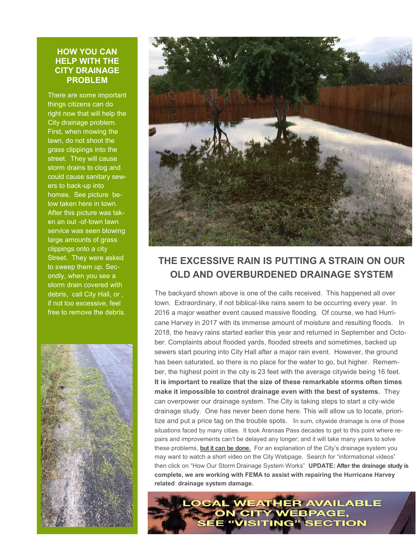## **HOW YOU CAN HELP WITH THE CITY DRAINAGE PROBLEM**

There are some important things citizens can do right now that will help the City drainage problem. First, when mowing the lawn, do not shoot the grass clippings into the street. They will cause storm drains to clog and could cause sanitary sewers to back-up into homes. See picture below taken here in town. After this picture was taken an out -of-town lawn service was seen blowing large amounts of grass clippings onto a city Street. They were asked to sweep them up. Secondly, when you see a storm drain covered with debris, call City Hall, or , if not too excessive, feel free to remove the debris.





## **THE EXCESSIVE RAIN IS PUTTING A STRAIN ON OUR OLD AND OVERBURDENED DRAINAGE SYSTEM**

The backyard shown above is one of the calls received. This happened all over town. Extraordinary, if not biblical-like rains seem to be occurring every year. In 2016 a major weather event caused massive flooding. Of course, we had Hurricane Harvey in 2017 with its immense amount of moisture and resulting floods. In 2018, the heavy rains started earlier this year and returned in September and October. Complaints about flooded yards, flooded streets and sometimes, backed up sewers start pouring into City Hall after a major rain event. However, the ground has been saturated, so there is no place for the water to go, but higher. Remember, the highest point in the city is 23 feet with the average citywide being 16 feet. **It is important to realize that the size of these remarkable storms often times make it impossible to control drainage even with the best of systems.** They can overpower our drainage system. The City is taking steps to start a city-wide drainage study. One has never been done here. This will allow us to locate, prioritize and put a price tag on the trouble spots. In sum, citywide drainage is one of those situations faced by many cities. It took Aransas Pass decades to get to this point where repairs and improvements can't be delayed any longer; and it will take many years to solve these problems, **but it can be done.** For an explanation of the City's drainage system you may want to watch a short video on the City Webpage. Search for "informational videos" then click on "How Our Storm Drainage System Works" **UPDATE: After the drainage study is complete, we are working with FEMA to assist with repairing the Hurricane Harvey related drainage system damage.**